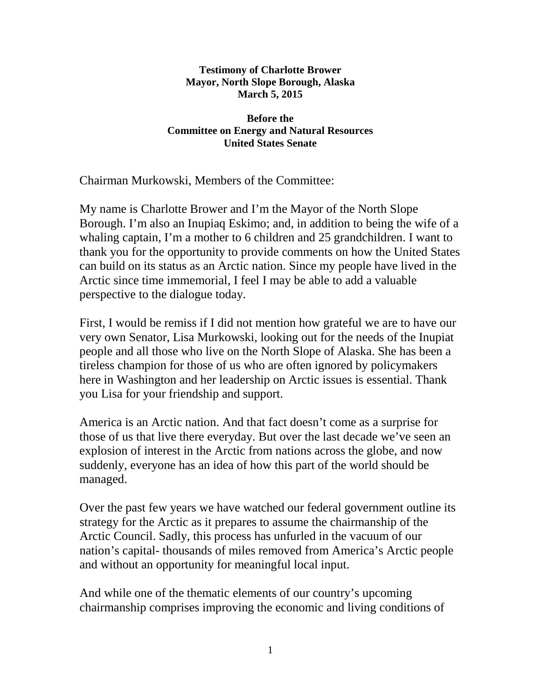## **Testimony of Charlotte Brower Mayor, North Slope Borough, Alaska March 5, 2015**

## **Before the Committee on Energy and Natural Resources United States Senate**

Chairman Murkowski, Members of the Committee:

My name is Charlotte Brower and I'm the Mayor of the North Slope Borough. I'm also an Inupiaq Eskimo; and, in addition to being the wife of a whaling captain, I'm a mother to 6 children and 25 grandchildren. I want to thank you for the opportunity to provide comments on how the United States can build on its status as an Arctic nation. Since my people have lived in the Arctic since time immemorial, I feel I may be able to add a valuable perspective to the dialogue today.

First, I would be remiss if I did not mention how grateful we are to have our very own Senator, Lisa Murkowski, looking out for the needs of the Inupiat people and all those who live on the North Slope of Alaska. She has been a tireless champion for those of us who are often ignored by policymakers here in Washington and her leadership on Arctic issues is essential. Thank you Lisa for your friendship and support.

America is an Arctic nation. And that fact doesn't come as a surprise for those of us that live there everyday. But over the last decade we've seen an explosion of interest in the Arctic from nations across the globe, and now suddenly, everyone has an idea of how this part of the world should be managed.

Over the past few years we have watched our federal government outline its strategy for the Arctic as it prepares to assume the chairmanship of the Arctic Council. Sadly, this process has unfurled in the vacuum of our nation's capital- thousands of miles removed from America's Arctic people and without an opportunity for meaningful local input.

And while one of the thematic elements of our country's upcoming chairmanship comprises improving the economic and living conditions of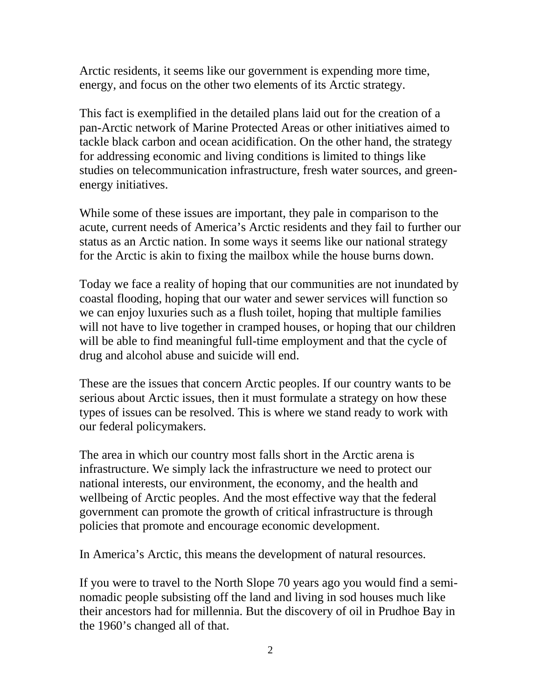Arctic residents, it seems like our government is expending more time, energy, and focus on the other two elements of its Arctic strategy.

This fact is exemplified in the detailed plans laid out for the creation of a pan-Arctic network of Marine Protected Areas or other initiatives aimed to tackle black carbon and ocean acidification. On the other hand, the strategy for addressing economic and living conditions is limited to things like studies on telecommunication infrastructure, fresh water sources, and greenenergy initiatives.

While some of these issues are important, they pale in comparison to the acute, current needs of America's Arctic residents and they fail to further our status as an Arctic nation. In some ways it seems like our national strategy for the Arctic is akin to fixing the mailbox while the house burns down.

Today we face a reality of hoping that our communities are not inundated by coastal flooding, hoping that our water and sewer services will function so we can enjoy luxuries such as a flush toilet, hoping that multiple families will not have to live together in cramped houses, or hoping that our children will be able to find meaningful full-time employment and that the cycle of drug and alcohol abuse and suicide will end.

These are the issues that concern Arctic peoples. If our country wants to be serious about Arctic issues, then it must formulate a strategy on how these types of issues can be resolved. This is where we stand ready to work with our federal policymakers.

The area in which our country most falls short in the Arctic arena is infrastructure. We simply lack the infrastructure we need to protect our national interests, our environment, the economy, and the health and wellbeing of Arctic peoples. And the most effective way that the federal government can promote the growth of critical infrastructure is through policies that promote and encourage economic development.

In America's Arctic, this means the development of natural resources.

If you were to travel to the North Slope 70 years ago you would find a seminomadic people subsisting off the land and living in sod houses much like their ancestors had for millennia. But the discovery of oil in Prudhoe Bay in the 1960's changed all of that.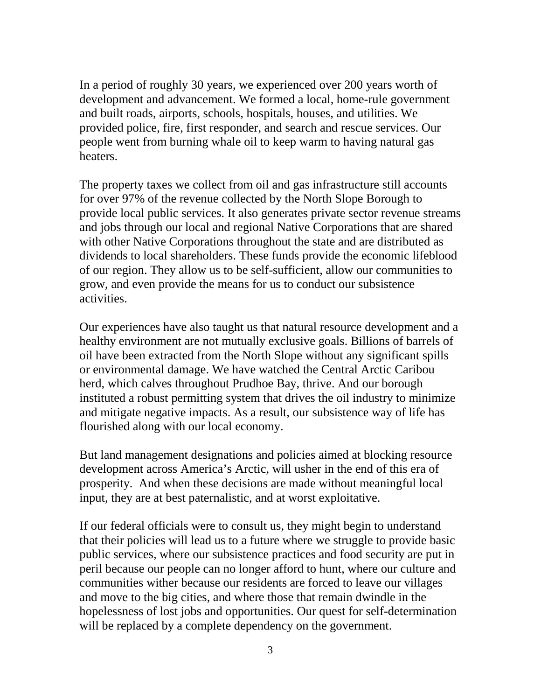In a period of roughly 30 years, we experienced over 200 years worth of development and advancement. We formed a local, home-rule government and built roads, airports, schools, hospitals, houses, and utilities. We provided police, fire, first responder, and search and rescue services. Our people went from burning whale oil to keep warm to having natural gas heaters.

The property taxes we collect from oil and gas infrastructure still accounts for over 97% of the revenue collected by the North Slope Borough to provide local public services. It also generates private sector revenue streams and jobs through our local and regional Native Corporations that are shared with other Native Corporations throughout the state and are distributed as dividends to local shareholders. These funds provide the economic lifeblood of our region. They allow us to be self-sufficient, allow our communities to grow, and even provide the means for us to conduct our subsistence activities.

Our experiences have also taught us that natural resource development and a healthy environment are not mutually exclusive goals. Billions of barrels of oil have been extracted from the North Slope without any significant spills or environmental damage. We have watched the Central Arctic Caribou herd, which calves throughout Prudhoe Bay, thrive. And our borough instituted a robust permitting system that drives the oil industry to minimize and mitigate negative impacts. As a result, our subsistence way of life has flourished along with our local economy.

But land management designations and policies aimed at blocking resource development across America's Arctic, will usher in the end of this era of prosperity. And when these decisions are made without meaningful local input, they are at best paternalistic, and at worst exploitative.

If our federal officials were to consult us, they might begin to understand that their policies will lead us to a future where we struggle to provide basic public services, where our subsistence practices and food security are put in peril because our people can no longer afford to hunt, where our culture and communities wither because our residents are forced to leave our villages and move to the big cities, and where those that remain dwindle in the hopelessness of lost jobs and opportunities. Our quest for self-determination will be replaced by a complete dependency on the government.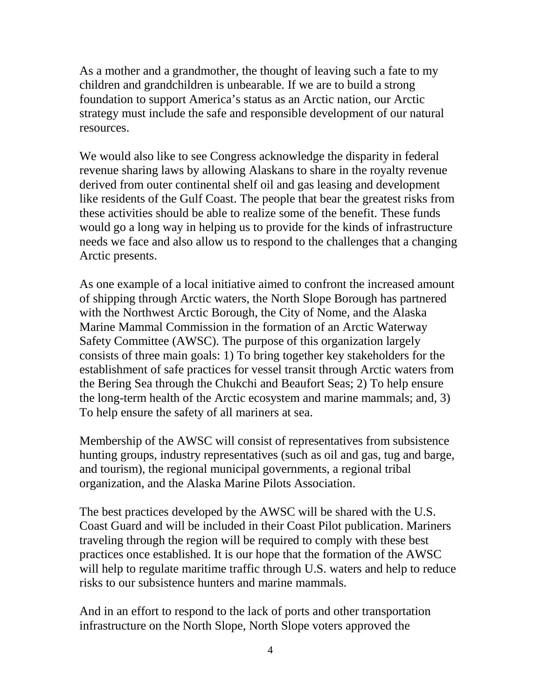As a mother and a grandmother, the thought of leaving such a fate to my children and grandchildren is unbearable. If we are to build a strong foundation to support America's status as an Arctic nation, our Arctic strategy must include the safe and responsible development of our natural resources.

We would also like to see Congress acknowledge the disparity in federal revenue sharing laws by allowing Alaskans to share in the royalty revenue derived from outer continental shelf oil and gas leasing and development like residents of the Gulf Coast. The people that bear the greatest risks from these activities should be able to realize some of the benefit. These funds would go a long way in helping us to provide for the kinds of infrastructure needs we face and also allow us to respond to the challenges that a changing Arctic presents.

As one example of a local initiative aimed to confront the increased amount of shipping through Arctic waters, the North Slope Borough has partnered with the Northwest Arctic Borough, the City of Nome, and the Alaska Marine Mammal Commission in the formation of an Arctic Waterway Safety Committee (AWSC). The purpose of this organization largely consists of three main goals: 1) To bring together key stakeholders for the establishment of safe practices for vessel transit through Arctic waters from the Bering Sea through the Chukchi and Beaufort Seas; 2) To help ensure the long-term health of the Arctic ecosystem and marine mammals; and, 3) To help ensure the safety of all mariners at sea.

Membership of the AWSC will consist of representatives from subsistence hunting groups, industry representatives (such as oil and gas, tug and barge, and tourism), the regional municipal governments, a regional tribal organization, and the Alaska Marine Pilots Association.

The best practices developed by the AWSC will be shared with the U.S. Coast Guard and will be included in their Coast Pilot publication. Mariners traveling through the region will be required to comply with these best practices once established. It is our hope that the formation of the AWSC will help to regulate maritime traffic through U.S. waters and help to reduce risks to our subsistence hunters and marine mammals.

And in an effort to respond to the lack of ports and other transportation infrastructure on the North Slope, North Slope voters approved the